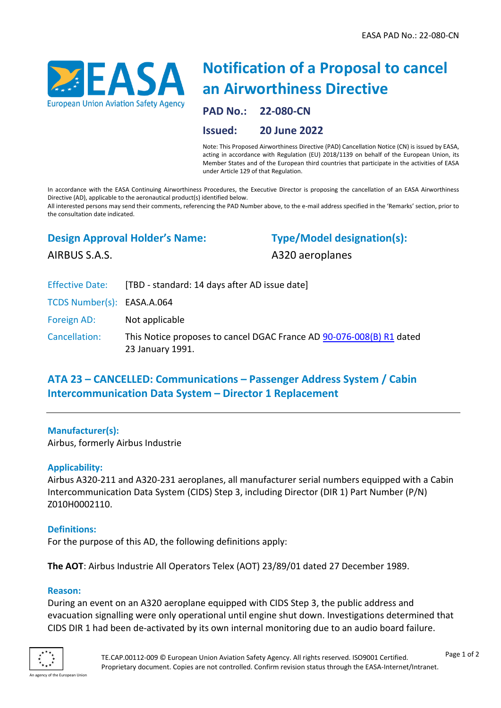

# **Notification of a Proposal to cancel an Airworthiness Directive**

**PAD No.: 22-080-CN**

**Issued: 20 June 2022**

Note: This Proposed Airworthiness Directive (PAD) Cancellation Notice (CN) is issued by EASA, acting in accordance with Regulation (EU) 2018/1139 on behalf of the European Union, its Member States and of the European third countries that participate in the activities of EASA under Article 129 of that Regulation.

In accordance with the EASA Continuing Airworthiness Procedures, the Executive Director is proposing the cancellation of an EASA Airworthiness Directive (AD), applicable to the aeronautical product(s) identified below.

All interested persons may send their comments, referencing the PAD Number above, to the e-mail address specified in the 'Remarks' section, prior to the consultation date indicated.

## **Design Approval Holder's Name:**

**Type/Model designation(s):**

AIRBUS S.A.S.

A320 aeroplanes

|                            | Effective Date: [TBD - standard: 14 days after AD issue date]                            |
|----------------------------|------------------------------------------------------------------------------------------|
| TCDS Number(s): EASA.A.064 |                                                                                          |
| Foreign AD:                | Not applicable                                                                           |
| Cancellation:              | This Notice proposes to cancel DGAC France AD 90-076-008(B) R1 dated<br>23 January 1991. |

# **ATA 23 – CANCELLED: Communications – Passenger Address System / Cabin Intercommunication Data System – Director 1 Replacement**

#### **Manufacturer(s):**

Airbus, formerly Airbus Industrie

#### **Applicability:**

Airbus A320-211 and A320-231 aeroplanes, all manufacturer serial numbers equipped with a Cabin Intercommunication Data System (CIDS) Step 3, including Director (DIR 1) Part Number (P/N) Z010H0002110.

#### **Definitions:**

For the purpose of this AD, the following definitions apply:

**The AOT**: Airbus Industrie All Operators Telex (AOT) 23/89/01 dated 27 December 1989.

#### **Reason:**

During an event on an A320 aeroplane equipped with CIDS Step 3, the public address and evacuation signalling were only operational until engine shut down. Investigations determined that CIDS DIR 1 had been de-activated by its own internal monitoring due to an audio board failure.